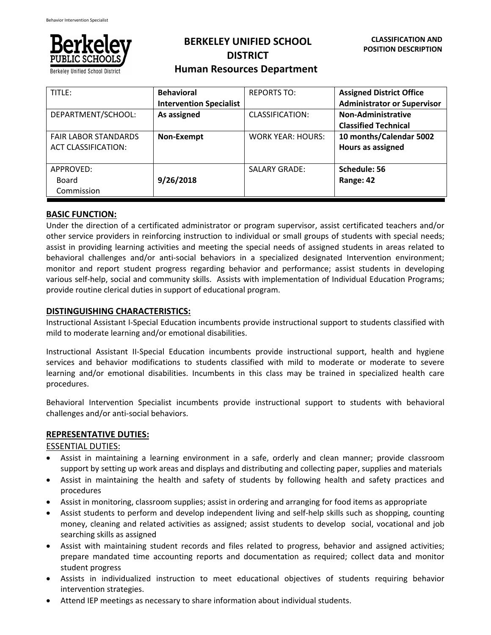

# **BERKELEY UNIFIED SCHOOL DISTRICT Human Resources Department**

| TITLE:                      | <b>Behavioral</b>              | <b>REPORTS TO:</b>   | <b>Assigned District Office</b>    |
|-----------------------------|--------------------------------|----------------------|------------------------------------|
|                             | <b>Intervention Specialist</b> |                      | <b>Administrator or Supervisor</b> |
| DEPARTMENT/SCHOOL:          | As assigned                    | CLASSIFICATION:      | Non-Administrative                 |
|                             |                                |                      | <b>Classified Technical</b>        |
| <b>FAIR LABOR STANDARDS</b> | Non-Exempt                     | WORK YEAR: HOURS:    | 10 months/Calendar 5002            |
| <b>ACT CLASSIFICATION:</b>  |                                |                      | Hours as assigned                  |
|                             |                                |                      |                                    |
| APPROVED:                   |                                | <b>SALARY GRADE:</b> | Schedule: 56                       |
| Board                       | 9/26/2018                      |                      | Range: 42                          |
| Commission                  |                                |                      |                                    |

## **BASIC FUNCTION:**

Under the direction of a certificated administrator or program supervisor, assist certificated teachers and/or other service providers in reinforcing instruction to individual or small groups of students with special needs; assist in providing learning activities and meeting the special needs of assigned students in areas related to behavioral challenges and/or anti‐social behaviors in a specialized designated Intervention environment; monitor and report student progress regarding behavior and performance; assist students in developing various self‐help, social and community skills. Assists with implementation of Individual Education Programs; provide routine clerical duties in support of educational program.

### **DISTINGUISHING CHARACTERISTICS:**

Instructional Assistant I‐Special Education incumbents provide instructional support to students classified with mild to moderate learning and/or emotional disabilities.

Instructional Assistant II-Special Education incumbents provide instructional support, health and hygiene services and behavior modifications to students classified with mild to moderate or moderate to severe learning and/or emotional disabilities. Incumbents in this class may be trained in specialized health care procedures.

Behavioral Intervention Specialist incumbents provide instructional support to students with behavioral challenges and/or anti‐social behaviors.

### **REPRESENTATIVE DUTIES:**

ESSENTIAL DUTIES:

- Assist in maintaining a learning environment in a safe, orderly and clean manner; provide classroom support by setting up work areas and displays and distributing and collecting paper, supplies and materials
- Assist in maintaining the health and safety of students by following health and safety practices and procedures
- Assist in monitoring, classroom supplies; assist in ordering and arranging for food items as appropriate
- Assist students to perform and develop independent living and self‐help skills such as shopping, counting money, cleaning and related activities as assigned; assist students to develop social, vocational and job searching skills as assigned
- Assist with maintaining student records and files related to progress, behavior and assigned activities; prepare mandated time accounting reports and documentation as required; collect data and monitor student progress
- Assists in individualized instruction to meet educational objectives of students requiring behavior intervention strategies.
- Attend IEP meetings as necessary to share information about individual students.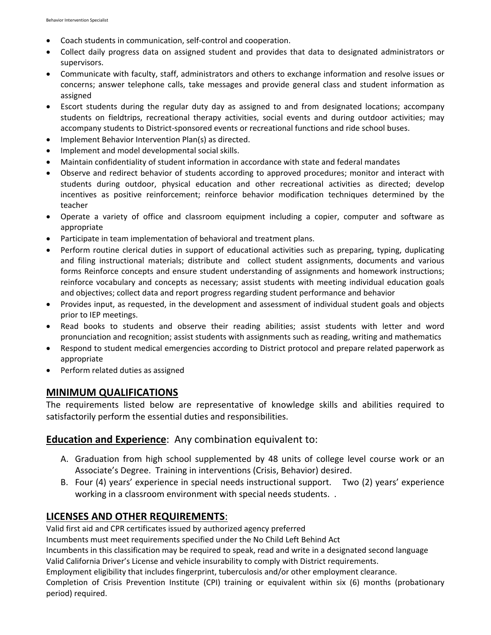- Coach students in communication, self-control and cooperation.
- Collect daily progress data on assigned student and provides that data to designated administrators or supervisors.
- Communicate with faculty, staff, administrators and others to exchange information and resolve issues or concerns; answer telephone calls, take messages and provide general class and student information as assigned
- Escort students during the regular duty day as assigned to and from designated locations; accompany students on fieldtrips, recreational therapy activities, social events and during outdoor activities; may accompany students to District‐sponsored events or recreational functions and ride school buses.
- Implement Behavior Intervention Plan(s) as directed.
- Implement and model developmental social skills.
- Maintain confidentiality of student information in accordance with state and federal mandates
- Observe and redirect behavior of students according to approved procedures; monitor and interact with students during outdoor, physical education and other recreational activities as directed; develop incentives as positive reinforcement; reinforce behavior modification techniques determined by the teacher
- Operate a variety of office and classroom equipment including a copier, computer and software as appropriate
- Participate in team implementation of behavioral and treatment plans.
- Perform routine clerical duties in support of educational activities such as preparing, typing, duplicating and filing instructional materials; distribute and collect student assignments, documents and various forms Reinforce concepts and ensure student understanding of assignments and homework instructions; reinforce vocabulary and concepts as necessary; assist students with meeting individual education goals and objectives; collect data and report progress regarding student performance and behavior
- Provides input, as requested, in the development and assessment of individual student goals and objects prior to IEP meetings.
- Read books to students and observe their reading abilities; assist students with letter and word pronunciation and recognition; assist students with assignments such as reading, writing and mathematics
- Respond to student medical emergencies according to District protocol and prepare related paperwork as appropriate
- Perform related duties as assigned

## **MINIMUM QUALIFICATIONS**

The requirements listed below are representative of knowledge skills and abilities required to satisfactorily perform the essential duties and responsibilities.

## **Education and Experience**: Any combination equivalent to:

- A. Graduation from high school supplemented by 48 units of college level course work or an Associate's Degree. Training in interventions (Crisis, Behavior) desired.
- B. Four (4) years' experience in special needs instructional support. Two (2) years' experience working in a classroom environment with special needs students. .

## **LICENSES AND OTHER REQUIREMENTS**:

Valid first aid and CPR certificates issued by authorized agency preferred

Incumbents must meet requirements specified under the No Child Left Behind Act

Incumbents in this classification may be required to speak, read and write in a designated second language

Valid California Driver's License and vehicle insurability to comply with District requirements.

Employment eligibility that includes fingerprint, tuberculosis and/or other employment clearance.

Completion of Crisis Prevention Institute (CPI) training or equivalent within six (6) months (probationary period) required.